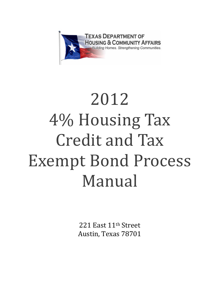

# 2012 4% Housing Tax Credit and Tax Exempt Bond Process Manual

221 East 11th Street Austin, Texas 78701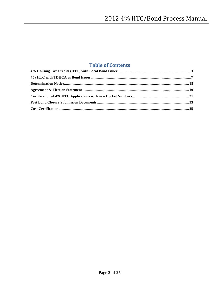## **Table of Contents**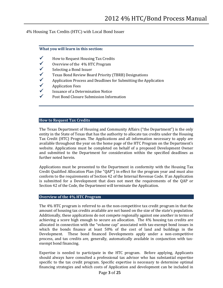<span id="page-2-0"></span>4% Housing Tax Credits (HTC) with Local Bond Issuer

## **What you will learn in this section:**

- $\checkmark$  How to Request Housing Tax Credits<br> $\checkmark$  Overview of the 4% HTC Program
- $\checkmark$  Overview of the 4% HTC Program<br> $\checkmark$  Selecting a Bond Issuer
- $\checkmark$  Selecting a Bond Issuer<br> $\checkmark$  Texas Bond Review Boa
- **◆ Texas Bond Review Board Priority (TBRB) Designations**<br>◆ Application Process and Deadlines for Submitting the Ap
- $\checkmark$  Application Process and Deadlines for Submitting the Application  $\checkmark$
- $\checkmark$  Application Fees
- $\checkmark$  Issuance of a Determination Notice<br> $\checkmark$  Dost Bond Closure Submission Information
- Post Bond Closure Submission Information

## **How to Request Tax Credits**

The Texas Department of Housing and Community Affairs ("the Department") is the only entity in the State of Texas that has the authority to allocate tax credits under the Housing Tax Credit (HTC) Program. The Applications and all information necessary to apply are available throughout the year on the home page of the HTC Program on the Department's website. Applications must be completed on behalf of a proposed Development Owner and submitted to the Department for consideration within the specified deadlines as further noted herein.

Applications must be presented to the Department in conformity with the Housing Tax Credit Qualified Allocation Plan (the "QAP") in effect for the program year and must also conform to the requirements of Section 42 of the Internal Revenue Code. If an Application is submitted for a Development that does not meet the requirements of the QAP or Section 42 of the Code, the Department will terminate the Application.

## **Overview of the 4% HTC Program**

The 4% HTC program is referred to as the non-competitive tax credit program in that the amount of housing tax credits available are not based on the size of the state's population. Additionally, these applications do not compete regionally against one another in terms of achieving a score high enough to secure an allocation. The 4% housing tax credits are allocated in connection with the "volume cap" associated with tax-exempt bond issues in which the bonds finance at least 50% of the cost of land and buildings in the Development. These bond financed Developments apply under a non-competitive process, and tax credits are, generally, automatically available in conjunction with taxexempt bond financing.

Expertise is needed to participate in the HTC program. Before applying, Applicants should always have consulted a professional tax advisor who has substantial expertise specific to the tax credit program. Specific expertise is necessary to determine optimal financing strategies and which costs of Application and development can be included in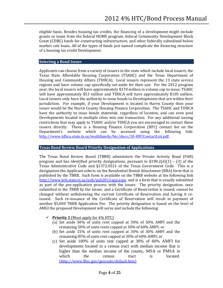eligible basis. Besides housing tax credits, the financing of a development might include grants or loans from the federal HOME program, federal Community Development Block Grant (CDBG) funds for constructing infrastructure, and other federally subsidized below market rate loans. All of the types of funds just named complicate the financing structure of a housing tax credit Development.

## **Selecting a Bond Issuer**

Applicants can choose from a variety of issuers in the state which include local issuers, the Texas State Affordable Housing Corporation (TSAHC) and the Texas Department of Housing and Community Affairs (TDHCA). Local issuers represent the 13 state service regions and have volume cap specifically set-aside for their use. For the 2012 program year, the local issuers will have approximately \$370 million in volume cap to issue; TSAHC will have approximately \$53 million and TDHCA will have approximately \$105 million. Local issuers only have the authority to issue bonds to Developments that are within their jurisdiction. For example, if your Development is located in Harris County then your issuer would be the Harris County Housing Finance Corporation. The TSAHC and TDHCA have the authority to issue bonds statewide, regardless of location, and can even pool Developments located in multiple cities into one transaction. For any additional issuing restrictions that may apply to TSAHC and/or TDHCA you are encouraged to contact these issuers directly. There is a Housing Finance Corporation (HFC) contact list on the Department's website which can be accessed using the following link: Department's website which can be accessed using the following [http://www.tdhca.state.tx.us/multifamily/htc/docs/10-HFCContactList.pdf.](http://www.tdhca.state.tx.us/multifamily/htc/docs/10-HFCContactList.pdf) 

## **Texas Bond Review Board Priority Designation of Applications**

The Texas Bond Review Board (TBRB) administers the Private Activity Bond (PAB) program and has identified priority designations, pursuant to  $\S 190.2(d)(1) - (3)$  of the Texas Administrative Code and §1372.0321 of the Texas Government Code. This is a designation the Applicant selects on the Residential Rental Attachment (RRA) form that is published by the TBRB. Such form is available on the TBRB website at the following link <http://www.brb.state.tx.us/pab/pab2012app.aspx> and is a form that is usually submitted as part of the pre-application process with the issuer. The priority designation, once submitted to the TBRB by the Issuer, and a Certificate of Reservation is issued, cannot be changed without withdrawing the current Certificate of Reservation and having it reissued. Such re-issuance of the Certificate of Reservation will result in payment of another \$5,000 TBRB Application Fee. The priority designation is based on the level of AMGI the proposed Development will serve and include the following:

## **Fiority 1** (Must apply for  $4\%$  HTC)

- (a) Set aside 50% of units rent capped at 30% of 50% AMFI and the remaining 50% of units rents capped at 30% of 60% AMFI; or
- (b) Set aside 15% of units rent capped at 30% of 30% AMFI and the remaining 85% of units rent capped at 30% of 60% AMFI; or
- (c) Set aside 100% of units rent capped at 30% of 60% AMFI for developments located in a census tract with median income that is higher than the median income of the county, MSA or PMSA in which the census tract is located. (http://www.ffiec.gov/geocode/default.htm)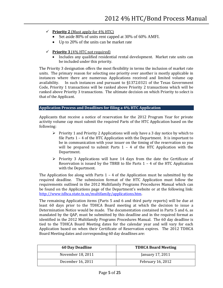- **Fiority 2** (Must apply for  $4\%$  HTC)
	- Set aside 80% of units rent capped at 30% of 60% AMFI.
	- Up to 20% of the units can be market rate
- **Priority 3** (4% HTC not required)
	- Includes any qualified residential rental development. Market rate units can be included under this priority.

The Priority 3 designation offers the most flexibility in terms the inclusion of market rate units. The primary reason for selecting one priority over another is mostly applicable in instances where there are numerous Applications received and limited volume cap<br>availability. In such instances and pursuant to \$1372.0321 of the Texas Government In such instances and pursuant to  $§1372.0321$  of the Texas Government Code, Priority 1 transactions will be ranked above Priority 2 transactions which will be ranked above Priority 3 transactions. The ultimate decision on which Priority to select is that of the Applicant.

## **Application Process and Deadlines for filing a 4% HTC Application**

Applicants that receive a notice of reservation for the 2012 Program Year for private activity volume cap must submit the required Parts of the HTC Application based on the following:

- $\triangleright$  Priority 1 and Priority 2 Applications will only have a 3 day notice by which to file Parts 1 – 4 of the HTC Application with the Department. It is important to be in communication with your issuer on the timing of the reservation so you will be prepared to submit Parts  $1 - 4$  of the HTC Application with the Department.
- $\triangleright$  Priority 3 Applications will have 14 days from the date the Certificate of Reservation is issued by the TBRB to file Parts  $1 - 4$  of the HTC Application with the Department.

The Application fee along with Parts  $1 - 4$  of the Application must be submitted by the required deadline. The submission format of the HTC Application must follow the requirements outlined in the 2012 Multifamily Programs Procedures Manual which can be found on the Applications page of the Department's website or at the following link: [http://www.tdhca.state.tx.us/multifamily/applications.htm.](http://www.tdhca.state.tx.us/multifamily/applications.htm) 

The remaining Application items (Parts 5 and 6 and third party reports) will be due at least 60 days prior to the TDHCA Board meeting at which the decision to issue a Determination Notice would be made. The documentation contained in Parts 5 and 6, as mandated by the QAP, must be submitted by this deadline and in the required format as identified in the 2012 Multifamily Programs Procedures Manual. The 60 day deadline is tied to the TDHCA Board Meeting dates for the calendar year and will vary for each Application based on when their Certificate of Reservation expires. The 2012 TDHCA Board Meeting dates and corresponding 60 day deadlines are:

| <b>60 Day Deadline</b> | <b>TDHCA Board Meeting</b> |
|------------------------|----------------------------|
| November 18, 2011      | January 17, 2011           |
| December 16, 2011      | <b>February 16, 2012</b>   |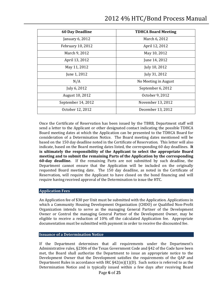| <b>60 Day Deadline</b> | <b>TDHCA Board Meeting</b> |  |
|------------------------|----------------------------|--|
| January 6, 2012        | March 6, 2012              |  |
| February 10, 2012      | April 12, 2012             |  |
| March 9, 2012          | May 10, 2012               |  |
| April 13, 2012         | June 14, 2012              |  |
| May 11, 2012           | July 10, 2012              |  |
| June 1, 2012           | July 31, 2012              |  |
| N/A                    | No Meeting in August       |  |
| July 6, 2012           | September 6, 2012          |  |
| August 10, 2012        | October 9, 2012            |  |
| September 14, 2012     | November 13, 2012          |  |
| October 12, 2012       | December 13, 2012          |  |

Once the Certificate of Reservation has been issued by the TBRB, Department staff will send a letter to the Applicant or other designated contact indicating the possible TDHCA Board meeting dates at which the Application can be presented to the TDHCA Board for consideration of a Determination Notice. The Board meeting dates mentioned will be based on the 150 day deadline noted in the Certificate of Reservation. This letter will also indicate, based on the Board meeting dates listed, the corresponding 60 day deadlines. **It is ultimately the responsibility of the Applicant to select the appropriate Board meeting and to submit the remaining Parts of the Application by the corresponding 60-day deadline.** If the remaining Parts are not submitted by such deadline, the Department cannot ensure that the Application will be included on the originally requested Board meeting date. The 150 day deadline, as noted in the Certificate of Reservation, will require the Applicant to have closed on the bond financing and will require having received approval of the Determination to issue the HTC.

## **Application Fees**

An Application fee of \$30 per Unit must be submitted with the Application. Applications in which a Community Housing Development Organization (CHDO) or Qualified Non-Profit Organization intends to serve as the managing General Partner of the Development Owner or Control the managing General Partner of the Development Owner, may be eligible to receive a reduction of 10% off the calculated Application fee. Appropriate documentation must be submitted with payment in order to receive the discounted fee.

## **Issuance of a Determination Notice**

If the Department determines that all requirements under the Department's Administrative rules, §2306 of the Texas Government Code and §42 of the Code have been met, the Board shall authorize the Department to issue an appropriate notice to the Development Owner that the Development satisfies the requirements of the QAP and Department Rules in accordance with IRC  $\S 42(m)(1)(D)$ . Such notice is referred to as the Determination Notice and is typically issued within a few days after receiving Board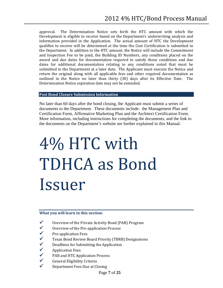approval. The Determination Notice sets forth the HTC amount with which the Development is eligible to receive based on the Department's underwriting analysis and information provided in the Application. The actual amount of HTC the Development qualifies to receive will be determined at the time the Cost Certification is submitted to the Department. In addition to the HTC amount, the Notice will include the Commitment and Inspection Fee to be paid, the Building ID Numbers, any conditions placed on the award and due dates for documentation required to satisfy those conditions and due dates for additional documentation relating to any conditions noted that must be submitted to the Department at a later date. The Applicant must execute the Notice and return the original along with all applicable fees and other required documentation as outlined in the Notice no later than thirty (30) days after its Effective Date. The Determination Notice expiration date may not be extended.

## **Post Bond Closure Submission Information**

No later than 60 days after the bond closing, the Applicant must submit a series of documents to the Department. These documents include: the Management Plan and Certification Form, Affirmative Marketing Plan and the Architect Certification Form. More information, including instructions for completing the documents, and the link to the documents on the Department's website are further explained in this Manual.

## <span id="page-6-0"></span>4% HTC with TDHCA as Bond Issuer

## **What you will learn in this section:**

- $\checkmark$  Overview of the Private Activity Bond (PAB) Program  $\checkmark$  Overview of the Pre-application Process
- $\checkmark$  Overview of the Pre-application Process<br> $\checkmark$  Pre-application Fees
- $\checkmark$  Pre-application Fees<br> $\checkmark$  Texas Bond Review I
- Texas Bond Review Board Priority (TBRB) Designations<br>  $\checkmark$  Deadlines for Submitting the Application
- $\checkmark$  Deadlines for Submitting the Application  $\checkmark$
- $\checkmark$  Application Fees<br> $\checkmark$  PAB and HTC Ap
- $\checkmark$  PAB and HTC Application Process<br> $\checkmark$  General Eligibility Criteria
- General Eligibility Criteria
- Department Fees Due at Closing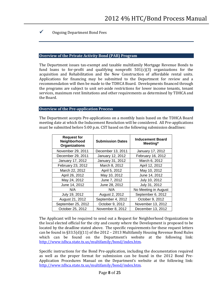## Ongoing Department Bond Fees

#### **Overview of the Private Activity Bond (PAB) Program**

The Department issues tax-exempt and taxable multifamily Mortgage Revenue Bonds to fund loans to for-profit and qualifying nonprofit  $501(c)(3)$  organizations for the acquisition and Rehabilitation and the New Construction of affordable rental units. Applications for financing may be submitted to the Department for review and a recommendation will then be made to the TDHCA Board. Developments financed through the programs are subject to unit set-aside restrictions for lower income tenants, tenant services, maximum rent limitations and other requirements as determined by TDHCA and the Board.

#### **Overview of the Pre-application Process**

The Department accepts Pre-applications on a monthly basis based on the TDHCA Board meeting date at which the Inducement Resolution will be considered. All Pre-applications must be submitted before 5:00 p.m. CST based on the following submission deadlines:

| <b>Request for</b><br>Neighborhood<br><b>Organizations</b> | <b>Submission Dates</b> | <b>Inducement Board</b><br>Meeting* |
|------------------------------------------------------------|-------------------------|-------------------------------------|
| November 29, 2011                                          | December 13, 2011       | January 17, 2012                    |
| December 29, 2011                                          | January 12, 2012        | February 16, 2012                   |
| January 17, 2012                                           | January 31, 2012        | March 6, 2012                       |
| February 23, 2012                                          | March 8, 2012           | April 12, 2012                      |
| March 22, 2012                                             | April 5, 2012           | May 10, 2012                        |
| April 26, 2012                                             | May 10, 2012            | June 14, 2012                       |
| May 24, 2012                                               | June 7, 2012            | July 10, 2012                       |
| June 14, 2012                                              | June 28, 2012           | July 31, 2012                       |
| N/A                                                        | N/A                     | No Meeting in August                |
| July 19, 2012                                              | August 2, 2012          | September 6, 2012                   |
| August 21, 2012                                            | September 4, 2012       | October 9, 2012                     |
| September 25, 2012                                         | October 9, 2012         | November 13, 2012                   |
| October 25, 2012                                           | November 8, 2012        | December 13, 2012                   |

The Applicant will be required to send out a Request for Neighborhood Organizations to the local elected official for the city and county where the Development is proposed to be located by the deadline stated above. The specific requirements for these request letters can be found in §33.5(d)(11) of the 2012 – 2013 Multifamily Housing Revenue Bond Rules which can be found on the Department's website at the following link: [http://www.tdhca.state.tx.us/multifamily/bond/index.htm.](http://www.tdhca.state.tx.us/multifamily/bond/index.htm)

Specific instructions for the Bond Pre-application, including the documentation required as well as the proper format for submission can be found in the 2012 Bond Pre-Application Procedures Manual on the Department's website at the following link: [http://www.tdhca.state.tx.us/multifamily/bond/index.htm.](http://www.tdhca.state.tx.us/multifamily/bond/index.htm)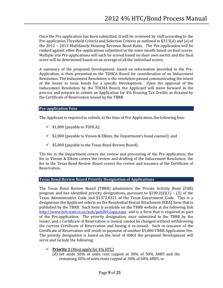Once the Pre-application has been submitted, it will be reviewed by staff according to the Pre-application Threshold Criteria and Selection Criteria as outlined in §33.5(d) and (e) of the 2012 – 2013 Multifamily Housing Revenue Bond Rules. The Pre-application will be ranked against other Pre-applications submitted in the same month based on final scores. Multiple site Pre-applications will each be scored based on their own merits and the final score will be determined based on an average of all the individual scores.

A summary of the proposed Development, based on information provided in the Pre-Application, is then presented to the TDHCA Board for consideration of an Inducement Resolution. The Inducement Resolution is the resolution passed communicating the intent of the Issuer to issue bonds for a specific Development. Upon the approval of the Inducement Resolution by the TDCHA Board, the Applicant will move forward in the process and prepare to submit an Application for 4% Housing Tax Credits as dictated by the Certificate of Reservation issued by the TBRB.

#### **Pre-application Fees**

The Applicant is required to submit, at the time of Pre-Application, the following fees:

- $\checkmark$  \$1,000 (payable to TDHCA);
- $\checkmark$  \$2,000 (payable to Vinson & Elkins, the Department's bond counsel); and
- $\checkmark$  \$5,000 (payable to the Texas Bond Review Board).

The fee to the Department covers the review and processing of the Pre-application; the fee to Vinson & Elkins covers the review and drafting of the Inducement Resolution; the fee to the Texas Bond Review Board covers the review and issuance of the Certificate of Reservation.

#### **Texas Bond Review Board Priority Designation of Applications**

The Texas Bond Review Board (TBRB) administers the Private Activity Bond (PAB) program and has identified priority designations, pursuant to  $\S 190.2(d)(1) - (3)$  of the Texas Administrative Code and §1372.0321 of the Texas Government Code. This is a designation the Applicant selects on the Residential Rental Attachment (RRA) form that is published by the TBRB. Such form is available on the TBRB website at the following link <http://www.brb.state.tx.us/pab/pab2012app.aspx>and is a form that is required as part of the Pre-application. The priority designation, once submitted to the TBRB by the Issuer, and a Certificate of Reservation is issued, cannot be changed without withdrawing the current Certificate of Reservation and having it re-issued. Such re-issuance of the Certificate of Reservation will result in payment of another \$5,000 TBRB Application Fee. The priority designation is based on the level of AMGI the proposed Development will serve and include the following:

- $\checkmark$  **Priority 1** (Must apply for  $4\%$  HTC)
	- (d) Set aside 50% of units rent capped at 30% of 50% AMFI and the remaining 50% of units rents capped at 30% of 60% AMFI; or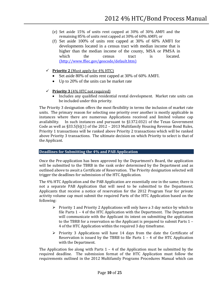- (e) Set aside 15% of units rent capped at 30% of 30% AMFI and the remaining 85% of units rent capped at 30% of 60% AMFI; or
- (f) Set aside 100% of units rent capped at 30% of 60% AMFI for developments located in a census tract with median income that is higher than the median income of the county, MSA or PMSA in which the census tract is located. (http://www.ffiec.gov/geocode/default.htm)
- $\checkmark$  **Priority 2** (Must apply for 4% HTC)
	- Set aside 80% of units rent capped at 30% of 60% AMFI.
	- Up to 20% of the units can be market rate
- $\checkmark$  **Priority 3** (4% HTC not required)
	- Includes any qualified residential rental development. Market rate units can be included under this priority.

The Priority 3 designation offers the most flexibility in terms the inclusion of market rate units. The primary reason for selecting one priority over another is mostly applicable in instances where there are numerous Applications received and limited volume cap availability. In such instances and pursuant to §1372.0321 of the Texas Government In such instances and pursuant to  $$1372.0321$  of the Texas Government Code as well as §33.5(b)(1) of the 2012 – 2013 Multifamily Housing Revenue Bond Rules, Priority 1 transactions will be ranked above Priority 2 transactions which will be ranked above Priority 3 transactions. The ultimate decision on which Priority to select is that of the Applicant.

## **Deadlines for Submitting the 4% and PAB Application**

Once the Pre-application has been approved by the Department's Board, the application will be submitted to the TBRB in the rank order determined by the Department and as outlined above to await a Certificate of Reservation. The Priority designation selected will trigger the deadlines for submission of the HTC Application.

The 4% HTC Application and the PAB Application are essentially one in the same; there is not a separate PAB Application that will need to be submitted to the Department. Applicants that receive a notice of reservation for the 2012 Program Year for private activity volume cap must submit the required Parts of the HTC Application based on the following:

- $\triangleright$  Priority 1 and Priority 2 Applications will only have a 3 day notice by which to file Parts 1 – 4 of the HTC Application with the Department. The Department will communicate with the Applicant its intent on submitting the application to the TBRB for a reservation so the Applicant is prepared to submit Parts 1 – 4 of the HTC Application within the required 3 day timeframe.
- $\triangleright$  Priority 3 Applications will have 14 days from the date the Certificate of Reservation is issued by the TBRB to file Parts  $1 - 4$  of the HTC Application with the Department.

The Application fee along with Parts  $1 - 4$  of the Application must be submitted by the required deadline. The submission format of the HTC Application must follow the requirements outlined in the 2012 Multifamily Programs Procedures Manual which can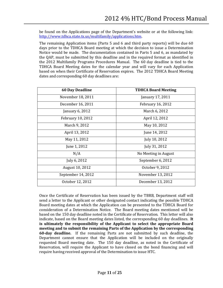be found on the Applications page of the Department's website or at the following link: [http://www.tdhca.state.tx.us/multifamily/applications.htm.](http://www.tdhca.state.tx.us/multifamily/applications.htm) 

The remaining Application items (Parts 5 and 6 and third party reports) will be due 60 days prior to the TDHCA Board meeting at which the decision to issue a Determination Notice would be made. The documentation contained in Parts 5 and 6, as mandated by the QAP, must be submitted by this deadline and in the required format as identified in the 2012 Multifamily Programs Procedures Manual. The 60 day deadline is tied to the TDHCA Board Meeting dates for the calendar year and will vary for each Application based on when their Certificate of Reservation expires. The 2012 TDHCA Board Meeting dates and corresponding 60 day deadlines are:

| <b>60 Day Deadline</b>   | <b>TDHCA Board Meeting</b> |
|--------------------------|----------------------------|
| November 18, 2011        | January 17, 2011           |
| December 16, 2011        | <b>February 16, 2012</b>   |
| January 6, 2012          | March 6, 2012              |
| <b>February 10, 2012</b> | April 12, 2012             |
| March 9, 2012            | May 10, 2012               |
| April 13, 2012           | June 14, 2012              |
| May 11, 2012             | July 10, 2012              |
| June 1, 2012             | July 31, 2012              |
| N/A                      | No Meeting in August       |
| July 6, 2012             | September 6, 2012          |
| August 10, 2012          | October 9, 2012            |
| September 14, 2012       | November 13, 2012          |
| October 12, 2012         | December 13, 2012          |

Once the Certificate of Reservation has been issued by the TBRB, Department staff will send a letter to the Applicant or other designated contact indicating the possible TDHCA Board meeting dates at which the Application can be presented to the TDHCA Board for consideration of a Determination Notice. The Board meeting dates mentioned will be based on the 150 day deadline noted in the Certificate of Reservation. This letter will also indicate, based on the Board meeting dates listed, the corresponding 60 day deadlines. **It is ultimately the responsibility of the Applicant to select the appropriate Board meeting and to submit the remaining Parts of the Application by the corresponding 60-day deadline.** If the remaining Parts are not submitted by such deadline, the Department cannot ensure that the Application will be included on the originally requested Board meeting date. The 150 day deadline, as noted in the Certificate of Reservation, will require the Applicant to have closed on the bond financing and will require having received approval of the Determination to issue HTC.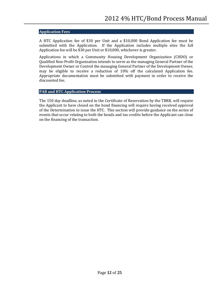## **Application Fees**

A HTC Application fee of \$30 per Unit and a \$10,000 Bond Application fee must be submitted with the Application. If the Application includes multiple sites the full Application fee will be \$30 per Unit or \$10,000, whichever is greater.

Applications in which a Community Housing Development Organization (CHDO) or Qualified Non-Profit Organization intends to serve as the managing General Partner of the Development Owner or Control the managing General Partner of the Development Owner, may be eligible to receive a reduction of 10% off the calculated Application fee. Appropriate documentation must be submitted with payment in order to receive the discounted fee.

## **PAB and HTC Application Process**

The 150 day deadline, as noted in the Certificate of Reservation by the TBRB, will require the Applicant to have closed on the bond financing will require having received approval of the Determination to issue the HTC. This section will provide guidance on the series of events that occur relating to both the bonds and tax credits before the Applicant can close on the financing of the transaction.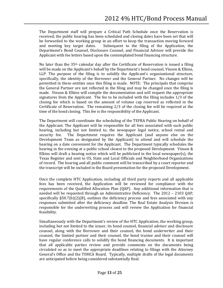The Department staff will prepare a Critical Path Schedule once the Reservation is received, the public hearing has been scheduled and closing dates have been set that will be forwarded to the working group in an effort to keep the transaction moving forward and meeting key target dates. Subsequent to the filing of the Application, the Subsequent to the filing of the Application, the Department's Bond Counsel, Disclosure Counsel, and Financial Advisor will provide the Applicant with fee letters based upon the contemplated bond financing structure.

No later than the 35th calendar day after the Certificate of Reservation is issued a filing will be made on the Applicant's behalf by the Department's bond counsel, Vinson & Elkins, LLP. The purpose of the filing is to solidify the Applicant's organizational structure, specifically, the identity of the Borrower and the General Partner. No changes will be permitted in these entities once this filing is made. NOTE: The principals that comprise the General Partner are not reflected in the filing and may be changed once the filing is made. Vinson & Elkins will compile the documentation and will request the appropriate signatures from the Applicant. The fee to be included with the filing includes 1/3 of the closing fee which is based on the amount of volume cap reserved as reflected in the Certificate of Reservation. The remaining 2/3 of the closing fee will be required at the time of the bond closing. This fee is the responsibility of the Applicant.

The Department will coordinate the scheduling of the TEFRA Public Hearing on behalf of the Applicant. The Applicant will be responsible for all fees associated with such public hearing, including but not limited to, the newspaper legal notice, school rental and security fee. The Department requires the Applicant (and anyone else on the The Department requires the Applicant (and anyone else on the Development Team as designated by the Applicant) to attend and will schedule the hearing on a date convenient for the Applicant. The Department typically schedules the hearing in the evening at a public school closest to the proposed Development. Vinson & Elkins will draft a hearing notice which will be publicized in the local newspaper(s), the Texas Register and sent to US, State and Local Officials and Neighborhood Organizations of record. The hearing and all public comment will be transcribed by a court reporter and the transcript will be included in the Board presentation for the proposed Development.

Once the complete HTC Application, including all third party reports and all applicable fees has been received, the Application will be reviewed for compliance with the requirements of the Qualified Allocation Plan (QAP). Any additional information that is needed will be requested through an Administrative Deficiency. The 2012 – 2103 QAP, specifically §50.7(b)(2)(B), outlines the deficiency process and fees associated with any responses submitted after the deficiency deadline. The Real Estate Analysis Division is responsible for the underwriting process and will review the Application for financial feasibility.

Simultaneously with the Department's review of the HTC Application, the working group, including but not limited to the issuer, its bond counsel, financial advisor and disclosure counsel, along with the Borrower and their counsel, the bond underwriter and their counsel, the limited partner and their counsel, the bond trustee and their counsel will have regular conference calls to solidify the bond financing documents. It is important that all applicable parties review and provide comments on the documents being circulated so as to meet the appropriate deadlines relating to filings with the Attorney General's Office and the TDHCA Board. Typically, multiple drafts of the legal documents are anticipated before being considered substantially final.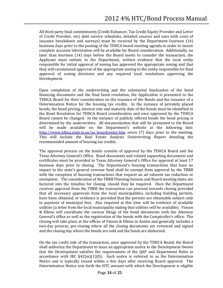All third party final commitments (Credit Enhancer, Tax Credit Equity Provider and Letter of Credit Provider, etc) debt service schedules, detailed sources and uses with costs of issuance breakdown and surveys) must be received by the Department fourteen (14) business days prior to the posting of the TDHCA board meeting agenda in order to insure complete accurate information will be available for Board consideration. Additionally, no later than fourteen (14) days before the Board meets to consider the transaction, the Applicant must submit, to the Department, written evidence that the local entity responsible for initial approval of zoning has approved the appropriate zoning and that they will recommend approval of the appropriate zoning to the entity responsible for final approval of zoning decisions and any required local resolutions approving the Development.

Upon completion of the underwriting and the substantial finalization of the bond financing documents and the final bond resolution, the Application is presented to the TDHCA Board for their consideration on the issuance of the Bonds and the issuance of a Determination Notice for the housing tax credits. In the instance of privately placed bonds, the bond pricing, interest rate and maturity date of the bonds must be identified in the Bond Resolution for TDHCA Board consideration and once approved by the TDHCA Board cannot be changed. In the instance of publicly offered bonds the bond pricing is determined by the underwriters. All documentation that will be presented to the Board will be made available on the Department's website at the following link: [http://www.tdhca.state.tx.us/au\\_boardcenter.htm](http://www.tdhca.state.tx.us/au_boardcenter.htm) seven (7) days prior to the meeting. This will include the Real Estate Analysis Underwriting Report detailing the recommended amount of housing tax credits.

The approval process on the bonds consists of approval by the TDHCA Board and the Texas Attorney General's Office. Bond documents and related supporting documents and certificates must be provided to Texas Attorney General's Office for approval at least 17 business days prior to closing. The Department's housing transactions that have no impact to the state's general revenue fund shall be exempt from approval by the TBRB with the exception of housing transactions that request an ad valorem tax reduction or exemption. The consideration of the TBRB Planning Session and Board meeting dates are factored into the timeline for closing, should they be required. Once the Department receives approval from the TBRB the transaction can proceed towards closing provided that all necessary approvals from the local municipalities, including building permits, have been obtained, or evidence is provided that the permits are obtainable subject only to payment of municipal fees. Also required at this time will be evidence of available utilities (a letter from the local municipality stating that utilities will be available). Vinson & Elkins will coordinate the various filings of the bond documents with the Attorney General's office as well as the registration of the bonds with the Comptroller's office. The closing will take place at the offices of Vinson & Elkins in Austin and generally includes a two-day process; pre-closing where all the closing documents are reviewed and signed and the closing day where the bonds are sold and the funds are disbursed.

On the tax credit side of the transaction, once approved by the TDHCA Board, the Board shall authorize the Department to issue an appropriate notice to the Development Owner that the Development satisfies the requirements of the QAP and Department Rules in accordance with IRC  $\S 42(m)(1)(D)$ . Such notice is referred to as the Determination Notice and is typically issued within a few days after receiving Board approval. The Determination Notice sets forth the HTC amount with which the Development is eligible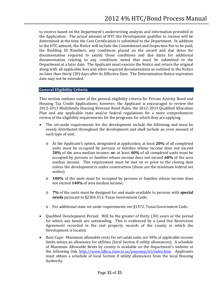to receive based on the Department's underwriting analysis and information provided in the Application. The actual amount of HTC the Development qualifies to receive will be determined at the time the Cost Certification is submitted to the Department. In addition to the HTC amount, the Notice will include the Commitment and Inspection Fee to be paid, the Building ID Numbers, any conditions placed on the award and due dates for documentation required to satisfy those conditions and due dates for additional documentation relating to any conditions noted that must be submitted to the Department at a later date. The Applicant must execute the Notice and return the original along with all applicable fees and other required documentation as outlined in the Notice no later than thirty (30) days after its Effective Date. The Determination Notice expiration date may not be extended.

## **General Eligibility Criteria**

This section outlines some of the general eligibility criteria for Private Activity Bond and Housing Tax Credit Applications; however, the Applicant is encouraged to review the 2012-2013 Multifamily Housing Revenue Bond Rules, the 2012-2013 Qualified Allocation Plan and any applicable state and/or federal regulations for a more comprehensive review of the eligibility requirements for the programs for which they are applying.

- The set-aside requirements for the development include the following and must be evenly distributed throughout the development and shall include an even amount of each type of unit.
	- o At the Applicant's option, designated at application, at least **20%** of all completed units must be occupied by persons or families whose income does not exceed **50%** of the area median income; **or**, at least **40%** of all completed units must be occupied by persons or families whose income does not exceed **60%** of the area median income. This requirement must be met on or prior to the closing date unless the development is under construction (these are the minimum federal set asides).
	- o **100%** of the units must be occupied by persons or families whose income does not exceed **140%** of area median income;
	- o **7%** of the units must be designed for and made available to persons with **special needs** pursuant to §2306.513, Texas Government Code;
	- o For additional state set aside requirements see §1372, Texas Government Code.
- Qualified Development Period: Will be the greater of thirty (30) years or the period for which any bonds are outstanding. This is evidenced by a Land Use Restriction Agreement recorded in the real property records of the county in which the Development is located.
- Rent Caps: Maximum allowable rents for set-aside units are 30% of applicable income limits minus an allowance for utilities (local Section 8 utility allowances). A schedule of Maximum Allowable Rents by county is available on the Department's website at the following link [http://www.tdhca.state.tx.us/pmcomp/irl/index.htm.](http://www.tdhca.state.tx.us/pmcomp/irl/index.htm) Applicants must obtain a schedule of local Section 8 utility allowances from the local Housing Authority.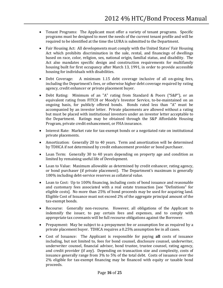- Tenant Programs: The Applicant must offer a variety of tenant programs. Specific programs must be designed to meet the needs of the current tenant profile and will be required to be identified at the time the LURA is submitted to the Department.
- Fair Housing Act: All developments must comply with the United States' Fair Housing Act which prohibits discrimination in the sale, rental, and financings of dwellings based on race, color, religion, sex, national origin, familial status, and disability. The Act also mandates specific design and construction requirements for multifamily housing built for first occupancy after March 13, 1991, in order to provide accessible housing for individuals with disabilities.
- Debt Coverage: A minimum 1.15 debt coverage inclusive of all on-going fees, including the Department's fees, or otherwise higher debt coverage required by rating agency, credit enhancer or private placement buyer.
- Debt Rating: Minimum of an "A" rating from Standard & Poors ("S&P"), or an equivalent rating from FITCH or Moody's Investor Service, to-be-maintained on an ongoing basis, for publicly offered bonds. Bonds rated less than "A" must be accompanied by an investor letter. Private placements are allowed without a rating but must be placed with institutional investors under an investor letter acceptable to the Department. Ratings may be obtained through the S&P Affordable Housing Program, private credit enhancement, or FHA insurance.
- Interest Rate: Market rate for tax-exempt bonds or a negotiated rate on institutional private placements.
- Amortization: Generally 20 to 40 years. Term and amortization will be determined by TDHCA if not determined by credit enhancement provider or bond purchaser.
- Loan Term: Generally 30 to 40 years depending on property age and condition as limited by remaining useful life of Development.
- Loan to Value: Maximum allowable as determined by credit enhancer, rating agency, or bond purchaser (if private placement). The Department's maximum is generally 100% including debt-service reserves as collateral value.
- Loan to Cost: Up to 100% financing, including costs of bond issuance and reasonable and customary fees associated with a real estate transaction [see "Definitions" for eligible costs]. No more than 25% of bond proceeds may be used for acquiring land. Eligible Cost of Issuance must not exceed 2% of the aggregate principal amount of the tax-exempt bonds.
- Recourse: Generally non-recourse. However, all obligations of the Applicant to indemnify the issuer, to pay certain fees and expenses, and to comply with appropriate tax covenants will be full recourse obligations against the Borrower.
- Prepayment: May be subject to a prepayment fee or assumption fee as required by a private placement buyer. TDHCA requires a 0.25% assumption fee in all cases.
- Cost of Issuance:The Applicant is responsible for paying **all** costs of issuance including, but not limited to, fees for bond counsel, disclosure counsel, underwriter, underwriter counsel, financial advisor, bond trustee, trustee counsel, rating agency, and credit provider (if any). Depending on transaction size and complexity, costs of issuance generally range from 3% to 5% of the total debt. Costs of issuance over the 2% eligible for tax-exempt financing may be financed with equity or taxable bond proceeds.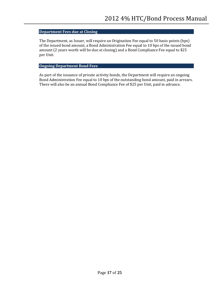## **Department Fees due at Closing**

The Department, as Issuer, will require an Origination Fee equal to 50 basis points (bps) of the issued bond amount, a Bond Administration Fee equal to 10 bps of the issued bond amount (2 years worth will be due at closing) and a Bond Compliance Fee equal to \$25 per Unit.

## **Ongoing Department Bond Fees**

As part of the issuance of private activity bonds, the Department will require an ongoing Bond Administration Fee equal to 10 bps of the outstanding bond amount, paid in arrears. There will also be an annual Bond Compliance Fee of \$25 per Unit, paid in advance.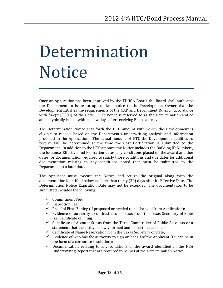## <span id="page-17-0"></span>Determination **Notice**

Once an Application has been approved by the TDHCA Board, the Board shall authorize the Department to issue an appropriate notice to the Development Owner that the Development satisfies the requirements of the QAP and Department Rules in accordance with  $\S42(m)(1)(D)$  of the Code. Such notice is referred to as the Determination Notice and is typically issued within a few days after receiving Board approval.

The Determination Notice sets forth the HTC amount with which the Development is eligible to receive based on the Department's underwriting analysis and information provided in the Application. The actual amount of HTC the Development qualifies to receive will be determined at the time the Cost Certification is submitted to the Department. In addition to the HTC amount, the Notice includes the Building ID Numbers, the Issuance, Effective and Expiration dates, any conditions placed on the award and due dates for documentation required to satisfy those conditions and due dates for additional documentation relating to any conditions noted that must be submitted to the Department at a later date.

The Applicant must execute the Notice and return the original along with the documentation identified below no later than thirty (30) days after its Effective Date. The Determination Notice Expiration Date may not be extended. The documentation to be submitted includes the following:

- $\checkmark$  Commitment Fee:
- $\checkmark$  Inspection Fee;
- $\checkmark$  Proof of Final Zoning (if proposed or needed to be changed from Application);
- $\checkmark$  Evidence of authority to do business in Texas from the Texas Secretary of State (i.e. Certificate of Filing);
- $\checkmark$  Certificate of Account Status from the Texas Comptroller of Public Accounts or a statement that the entity is newly formed and no certificate exists;
- $\checkmark$  Certificate of Name Reservation from the Texas Secretary of State;
- $\checkmark$  Evidence of who has the authority to sign on behalf of the Applicant (i.e. can be in the form of a corporate resolution);
- $\checkmark$  Documentation relating to any conditions of the award identified in the REA Underwriting Report that are required to be met at the Determination Notice.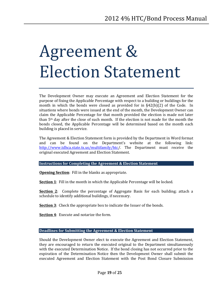## <span id="page-18-0"></span>Agreement & Election Statement

The Development Owner may execute an Agreement and Election Statement for the purpose of fixing the Applicable Percentage with respect to a building or buildings for the month in which the bonds were closed as provided for in §42(b)(2) of the Code. In situations where bonds were issued at the end of the month, the Development Owner can claim the Applicable Percentage for that month provided the election is made not later than 5th day after the close of such month. If the election is not made for the month the bonds closed, the Applicable Percentage will be determined based on the month each building is placed in service.

The Agreement & Election Statement form is provided by the Department in Word format and can be found on the Department's website at the following link: [http://www.tdhca.state.tx.us/multifamily/htc/](http://www.tdhca.state.tx.us/multifamily/htc). The Department must receive the original executed Agreement and Election Statement.

#### **Instructions for Completing the Agreement & Election Statement**

**Opening Section**: Fill in the blanks as appropriate.

**Section 1**: Fill in the month in which the Applicable Percentage will be locked.

**Section 2**: Complete the percentage of Aggregate Basis for each building; attach a schedule to identify additional buildings, if necessary.

**Section 3**: Check the appropriate box to indicate the Issuer of the bonds.

**Section 4**: Execute and notarize the form.

## **Deadlines for Submitting the Agreement & Election Statement**

Should the Development Owner elect to execute the Agreement and Election Statement, they are encouraged to return the executed original to the Department simultaneously with the executed Determination Notice. If the bond closing has not occurred prior to the expiration of the Determination Notice then the Development Owner shall submit the executed Agreement and Election Statement with the Post Bond Closure Submission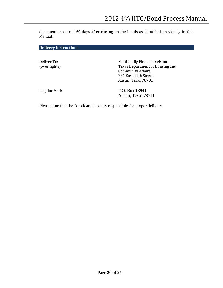documents required 60 days after closing on the bonds as identified previously in this Manual.

**Delivery Instructions**

Deliver To: (overnights) Multifamily Finance Division Texas Department of Housing and Community Affairs 221 East 11th Street Austin, Texas 78701

Regular Mail: P.O. Box 13941 Austin, Texas 78711

Please note that the Applicant is solely responsible for proper delivery.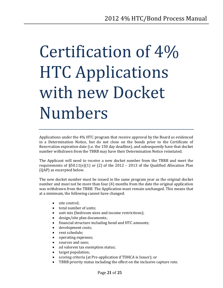# <span id="page-20-0"></span>Certification of 4% HTC Applications with new Docket Numbers

Applications under the 4% HTC program that receive approval by the Board as evidenced in a Determination Notice, but do not close on the bonds prior to the Certificate of Reservation expiration date (i.e. the 150 day deadline), and subsequently have that docket number withdrawn from the TBRB may have their Determination Notice reinstated.

The Applicant will need to receive a new docket number from the TBRB and meet the requirements of  $\S50.11(e)(1)$  or (2) of the 2012 – 2013 of the Qualified Allocation Plan (QAP) as excerpted below.

The new docket number must be issued in the same program year as the original docket number and must not be more than four (4) months from the date the original application was withdrawn from the TBRB. The Application must remain unchanged. This means that at a minimum, the following cannot have changed:

- site control;
- total number of units;
- unit mix (bedroom sizes and income restrictions);<br>• design/site plan documents;
- design/site plan documents;
- financial structure including bond and HTC amounts;<br>• development costs:
- development costs;<br>• rent schedule;
- rent schedule;<br>• operating expe
- operating expenses;<br>• sources and uses;
- sources and uses;<br>• ad valorem tax exe
- ad valorem tax exemption status;<br>• target population;
- target population;
- scoring criteria (at Pre-application if TDHCA is Issuer); or
- TBRB priority status including the effect on the inclusive capture rate.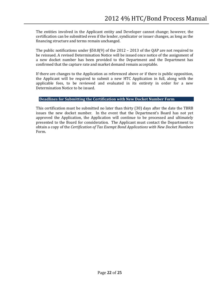The entities involved in the Applicant entity and Developer cannot change; however, the certification can be submitted even if the lender, syndicator or issuer changes, as long as the financing structure and terms remain unchanged.

The public notifications under §50.8(9) of the 2012 – 2013 of the QAP are not required to be reissued. A revised Determination Notice will be issued once notice of the assignment of a new docket number has been provided to the Department and the Department has confirmed that the capture rate and market demand remain acceptable.

If there are changes to the Application as referenced above or if there is public opposition, the Applicant will be required to submit a new HTC Application in full, along with the applicable fees, to be reviewed and evaluated in its entirety in order for a new Determination Notice to be issued.

## **Deadlines for Submitting the Certification with New Docket Number Form**

This certification must be submitted no later than thirty (30) days after the date the TBRB issues the new docket number. In the event that the Department's Board has not yet approved the Application, the Application will continue to be processed and ultimately presented to the Board for consideration. The Applicant must contact the Department to obtain a copy of the *Certification of Tax Exempt Bond Applications with New Docket Numbers* Form.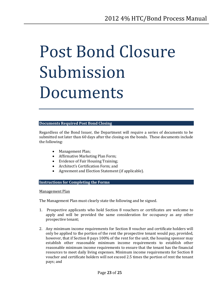## <span id="page-22-0"></span>Post Bond Closure Submission Documents

## **Documents Required Post Bond Closing**

Regardless of the Bond Issuer, the Department will require a series of documents to be submitted not later than 60 days after the closing on the bonds. These documents include the following:

- Management Plan;
- Affirmative Marketing Plan Form;
- Evidence of Fair Housing Training;
- Architect's Certification Form; and
- Agreement and Election Statement (if applicable).

## **Instructions for Completing the Forms**

Management Plan

The Management Plan must clearly state the following and be signed.

- 1. Prospective applicants who hold Section 8 vouchers or certificates are welcome to apply and will be provided the same consideration for occupancy as any other prospective tenant;
- 2. Any minimum income requirements for Section 8 voucher and certificate holders will only be applied to the portion of the rent the prospective tenant would pay, provided, however, that if Section 8 pays 100% of the rent for the unit, the housing sponsor may establish other reasonable minimum income requirements to establish other reasonable minimum income requirements to ensure that the tenant has the financial resources to meet daily living expenses. Minimum income requirements for Section 8 voucher and certificate holders will not exceed 2.5 times the portion of rent the tenant pays; and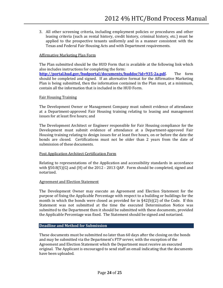3. All other screening criteria, including employment policies or procedures and other leasing criteria (such as rental history, credit history, criminal history, etc.) must be applied to the prospective tenants uniformly and in a manner consistent with the Texas and Federal Fair Housing Acts and with Department requirements.

## Affirmative Marketing Plan Form

The Plan submitted should be the HUD Form that is available at the following link which also includes instructions for completing the form: **[http://portal.hud.gov/hudportal/documents/huddoc?id=935-2a.pdf.](http://portal.hud.gov/hudportal/documents/huddoc?id=935-2a.pdf)** The form should be completed and signed. If an alternative format for the Affirmative Marketing Plan is being submitted, then the information contained in the Plan must, at a minimum, contain all the information that is included in the HUD Form.

## Fair Housing Training

The Development Owner or Management Company must submit evidence of attendance at a Department-approved Fair Housing training relating to leasing and management issues for at least five hours; and

The Development Architect or Engineer responsible for Fair Housing compliance for the Development must submit evidence of attendance at a Department-approved Fair Housing training relating to design issues for at least five hours, on or before the date the bonds are closed. Certifications must not be older than 2 years from the date of submission of these documents.

## Post Application Architect Certification Form

Relating to representations of the Application and accessibility standards in accordance with §50.8(5)(G) and (H) of the 2012 - 2013 QAP. Form should be completed, signed and notarized.

## Agreement and Election Statement

The Development Owner may execute an Agreement and Election Statement for the purpose of fixing the Applicable Percentage with respect to a building or buildings for the month in which the bonds were closed as provided for in  $\S 42(b)(2)$  of the Code. If this Statement was not submitted at the time the executed Determination Notice was submitted to the Department then it should be submitted with these documents, provided the Applicable Percentage was fixed. The Statement should be signed and notarized.

## **Deadline and Method for Submission**

These documents must be submitted no later than 60 days after the closing on the bonds and may be submitted via the Department's FTP server, with the exception of the Agreement and Election Statement which the Department must receive an executed original. The Applicant is encouraged to send staff an email indicating that the documents have been uploaded.